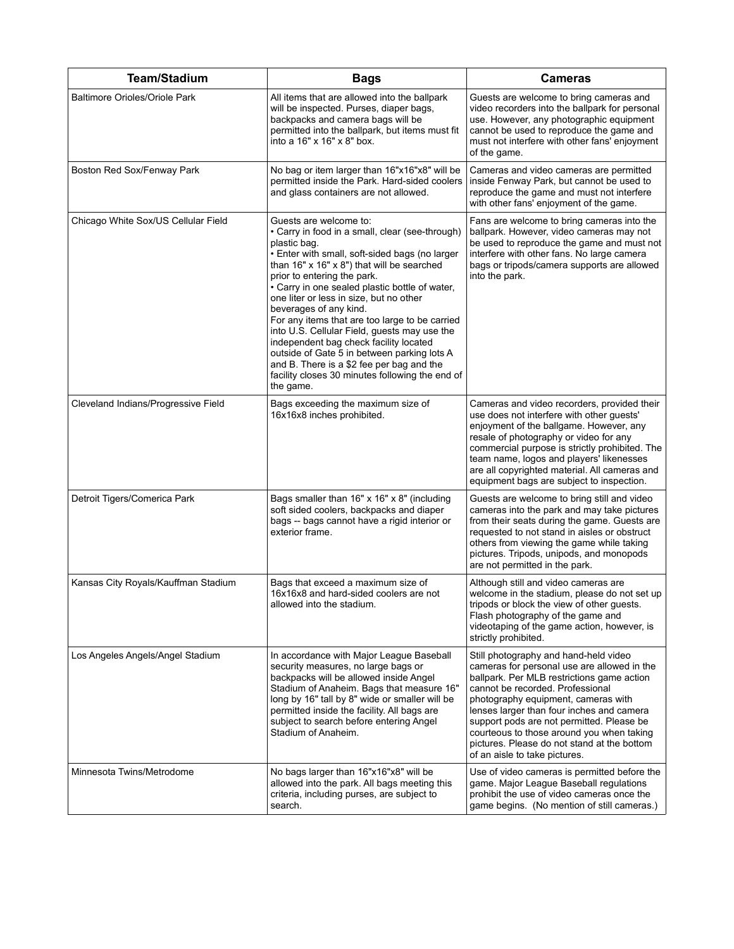| <b>Team/Stadium</b>                  | <b>Bags</b>                                                                                                                                                                                                                                                                                                                                                                                                                                                                                                                                                                                                                                             | <b>Cameras</b>                                                                                                                                                                                                                                                                                                                                                                                                                       |
|--------------------------------------|---------------------------------------------------------------------------------------------------------------------------------------------------------------------------------------------------------------------------------------------------------------------------------------------------------------------------------------------------------------------------------------------------------------------------------------------------------------------------------------------------------------------------------------------------------------------------------------------------------------------------------------------------------|--------------------------------------------------------------------------------------------------------------------------------------------------------------------------------------------------------------------------------------------------------------------------------------------------------------------------------------------------------------------------------------------------------------------------------------|
| <b>Baltimore Orioles/Oriole Park</b> | All items that are allowed into the ballpark<br>will be inspected. Purses, diaper bags,<br>backpacks and camera bags will be<br>permitted into the ballpark, but items must fit<br>into a 16" x 16" x 8" box.                                                                                                                                                                                                                                                                                                                                                                                                                                           | Guests are welcome to bring cameras and<br>video recorders into the ballpark for personal<br>use. However, any photographic equipment<br>cannot be used to reproduce the game and<br>must not interfere with other fans' enjoyment<br>of the game.                                                                                                                                                                                   |
| Boston Red Sox/Fenway Park           | No bag or item larger than 16"x16"x8" will be<br>permitted inside the Park. Hard-sided coolers<br>and glass containers are not allowed.                                                                                                                                                                                                                                                                                                                                                                                                                                                                                                                 | Cameras and video cameras are permitted<br>inside Fenway Park, but cannot be used to<br>reproduce the game and must not interfere<br>with other fans' enjoyment of the game.                                                                                                                                                                                                                                                         |
| Chicago White Sox/US Cellular Field  | Guests are welcome to:<br>• Carry in food in a small, clear (see-through)<br>plastic bag.<br>• Enter with small, soft-sided bags (no larger<br>than 16" x 16" x 8") that will be searched<br>prior to entering the park.<br>• Carry in one sealed plastic bottle of water,<br>one liter or less in size, but no other<br>beverages of any kind.<br>For any items that are too large to be carried<br>into U.S. Cellular Field, guests may use the<br>independent bag check facility located<br>outside of Gate 5 in between parking lots A<br>and B. There is a \$2 fee per bag and the<br>facility closes 30 minutes following the end of<br>the game. | Fans are welcome to bring cameras into the<br>ballpark. However, video cameras may not<br>be used to reproduce the game and must not<br>interfere with other fans. No large camera<br>bags or tripods/camera supports are allowed<br>into the park.                                                                                                                                                                                  |
| Cleveland Indians/Progressive Field  | Bags exceeding the maximum size of<br>16x16x8 inches prohibited.                                                                                                                                                                                                                                                                                                                                                                                                                                                                                                                                                                                        | Cameras and video recorders, provided their<br>use does not interfere with other guests'<br>enjoyment of the ballgame. However, any<br>resale of photography or video for any<br>commercial purpose is strictly prohibited. The<br>team name, logos and players' likenesses<br>are all copyrighted material. All cameras and<br>equipment bags are subject to inspection.                                                            |
| Detroit Tigers/Comerica Park         | Bags smaller than $16" \times 16" \times 8"$ (including<br>soft sided coolers, backpacks and diaper<br>bags -- bags cannot have a rigid interior or<br>exterior frame.                                                                                                                                                                                                                                                                                                                                                                                                                                                                                  | Guests are welcome to bring still and video<br>cameras into the park and may take pictures<br>from their seats during the game. Guests are<br>requested to not stand in aisles or obstruct<br>others from viewing the game while taking<br>pictures. Tripods, unipods, and monopods<br>are not permitted in the park.                                                                                                                |
| Kansas City Royals/Kauffman Stadium  | Bags that exceed a maximum size of<br>16x16x8 and hard-sided coolers are not<br>allowed into the stadium.                                                                                                                                                                                                                                                                                                                                                                                                                                                                                                                                               | Although still and video cameras are<br>welcome in the stadium, please do not set up<br>tripods or block the view of other guests.<br>Flash photography of the game and<br>videotaping of the game action, however, is<br>strictly prohibited.                                                                                                                                                                                       |
| Los Angeles Angels/Angel Stadium     | In accordance with Major League Baseball<br>security measures, no large bags or<br>backpacks will be allowed inside Angel<br>Stadium of Anaheim. Bags that measure 16"<br>long by 16" tall by 8" wide or smaller will be<br>permitted inside the facility. All bags are<br>subject to search before entering Angel<br>Stadium of Anaheim.                                                                                                                                                                                                                                                                                                               | Still photography and hand-held video<br>cameras for personal use are allowed in the<br>ballpark. Per MLB restrictions game action<br>cannot be recorded. Professional<br>photography equipment, cameras with<br>lenses larger than four inches and camera<br>support pods are not permitted. Please be<br>courteous to those around you when taking<br>pictures. Please do not stand at the bottom<br>of an aisle to take pictures. |
| Minnesota Twins/Metrodome            | No bags larger than 16"x16"x8" will be<br>allowed into the park. All bags meeting this<br>criteria, including purses, are subject to<br>search.                                                                                                                                                                                                                                                                                                                                                                                                                                                                                                         | Use of video cameras is permitted before the<br>game. Major League Baseball regulations<br>prohibit the use of video cameras once the<br>game begins. (No mention of still cameras.)                                                                                                                                                                                                                                                 |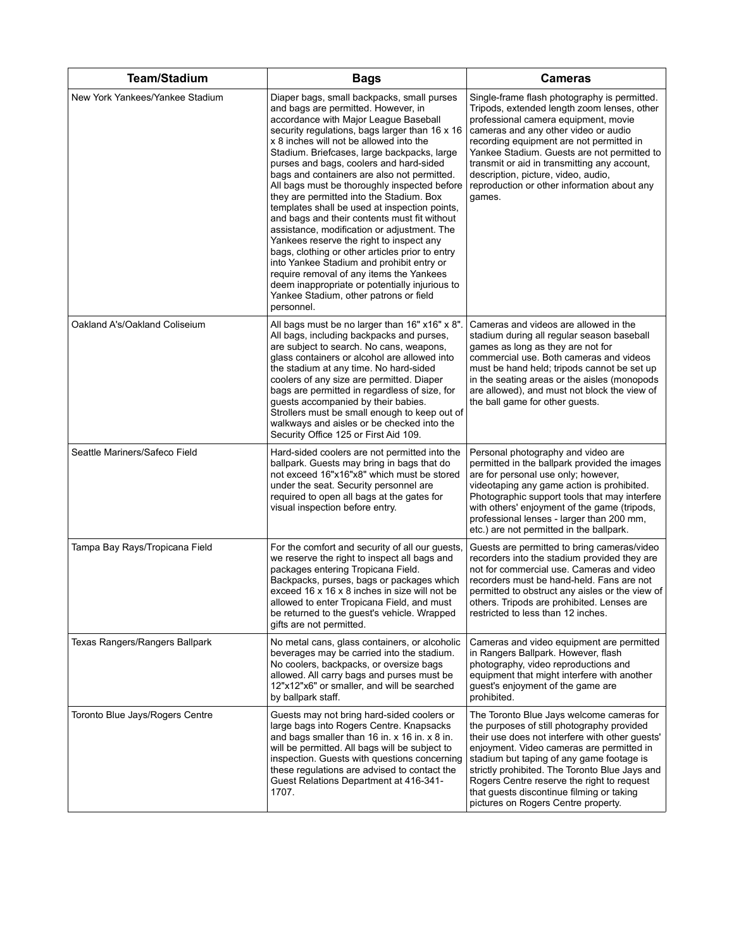| <b>Team/Stadium</b>             | <b>Bags</b>                                                                                                                                                                                                                                                                                                                                                                                                                                                                                                                                                                                                                                                                                                                                                                                                                                                                                                    | <b>Cameras</b>                                                                                                                                                                                                                                                                                                                                                                                                           |
|---------------------------------|----------------------------------------------------------------------------------------------------------------------------------------------------------------------------------------------------------------------------------------------------------------------------------------------------------------------------------------------------------------------------------------------------------------------------------------------------------------------------------------------------------------------------------------------------------------------------------------------------------------------------------------------------------------------------------------------------------------------------------------------------------------------------------------------------------------------------------------------------------------------------------------------------------------|--------------------------------------------------------------------------------------------------------------------------------------------------------------------------------------------------------------------------------------------------------------------------------------------------------------------------------------------------------------------------------------------------------------------------|
| New York Yankees/Yankee Stadium | Diaper bags, small backpacks, small purses<br>and bags are permitted. However, in<br>accordance with Major League Baseball<br>security regulations, bags larger than 16 x 16<br>x 8 inches will not be allowed into the<br>Stadium. Briefcases, large backpacks, large<br>purses and bags, coolers and hard-sided<br>bags and containers are also not permitted.<br>All bags must be thoroughly inspected before<br>they are permitted into the Stadium. Box<br>templates shall be used at inspection points,<br>and bags and their contents must fit without<br>assistance, modification or adjustment. The<br>Yankees reserve the right to inspect any<br>bags, clothing or other articles prior to entry<br>into Yankee Stadium and prohibit entry or<br>require removal of any items the Yankees<br>deem inappropriate or potentially injurious to<br>Yankee Stadium, other patrons or field<br>personnel. | Single-frame flash photography is permitted.<br>Tripods, extended length zoom lenses, other<br>professional camera equipment, movie<br>cameras and any other video or audio<br>recording equipment are not permitted in<br>Yankee Stadium. Guests are not permitted to<br>transmit or aid in transmitting any account,<br>description, picture, video, audio,<br>reproduction or other information about any<br>games.   |
| Oakland A's/Oakland Coliseium   | All bags must be no larger than 16" x16" x 8".<br>All bags, including backpacks and purses,<br>are subject to search. No cans, weapons,<br>glass containers or alcohol are allowed into<br>the stadium at any time. No hard-sided<br>coolers of any size are permitted. Diaper<br>bags are permitted in regardless of size, for<br>guests accompanied by their babies.<br>Strollers must be small enough to keep out of<br>walkways and aisles or be checked into the<br>Security Office 125 or First Aid 109.                                                                                                                                                                                                                                                                                                                                                                                                 | Cameras and videos are allowed in the<br>stadium during all regular season baseball<br>games as long as they are not for<br>commercial use. Both cameras and videos<br>must be hand held; tripods cannot be set up<br>in the seating areas or the aisles (monopods<br>are allowed), and must not block the view of<br>the ball game for other guests.                                                                    |
| Seattle Mariners/Safeco Field   | Hard-sided coolers are not permitted into the<br>ballpark. Guests may bring in bags that do<br>not exceed 16"x16"x8" which must be stored<br>under the seat. Security personnel are<br>required to open all bags at the gates for<br>visual inspection before entry.                                                                                                                                                                                                                                                                                                                                                                                                                                                                                                                                                                                                                                           | Personal photography and video are<br>permitted in the ballpark provided the images<br>are for personal use only; however,<br>videotaping any game action is prohibited.<br>Photographic support tools that may interfere<br>with others' enjoyment of the game (tripods,<br>professional lenses - larger than 200 mm,<br>etc.) are not permitted in the ballpark.                                                       |
| Tampa Bay Rays/Tropicana Field  | For the comfort and security of all our guests,<br>we reserve the right to inspect all bags and<br>packages entering Tropicana Field.<br>Backpacks, purses, bags or packages which<br>exceed 16 x 16 x 8 inches in size will not be<br>allowed to enter Tropicana Field, and must<br>be returned to the guest's vehicle. Wrapped<br>gifts are not permitted.                                                                                                                                                                                                                                                                                                                                                                                                                                                                                                                                                   | Guests are permitted to bring cameras/video<br>recorders into the stadium provided they are<br>not for commercial use. Cameras and video<br>recorders must be hand-held. Fans are not<br>permitted to obstruct any aisles or the view of<br>others. Tripods are prohibited. Lenses are<br>restricted to less than 12 inches.                                                                                             |
| Texas Rangers/Rangers Ballpark  | No metal cans, glass containers, or alcoholic<br>beverages may be carried into the stadium.<br>No coolers, backpacks, or oversize bags<br>allowed. All carry bags and purses must be<br>12"x12"x6" or smaller, and will be searched<br>by ballpark staff.                                                                                                                                                                                                                                                                                                                                                                                                                                                                                                                                                                                                                                                      | Cameras and video equipment are permitted<br>in Rangers Ballpark. However, flash<br>photography, video reproductions and<br>equipment that might interfere with another<br>guest's enjoyment of the game are<br>prohibited.                                                                                                                                                                                              |
| Toronto Blue Jays/Rogers Centre | Guests may not bring hard-sided coolers or<br>large bags into Rogers Centre. Knapsacks<br>and bags smaller than 16 in. x 16 in. x 8 in.<br>will be permitted. All bags will be subject to<br>inspection. Guests with questions concerning<br>these regulations are advised to contact the<br>Guest Relations Department at 416-341-<br>1707.                                                                                                                                                                                                                                                                                                                                                                                                                                                                                                                                                                   | The Toronto Blue Jays welcome cameras for<br>the purposes of still photography provided<br>their use does not interfere with other guests'<br>enjoyment. Video cameras are permitted in<br>stadium but taping of any game footage is<br>strictly prohibited. The Toronto Blue Jays and<br>Rogers Centre reserve the right to request<br>that guests discontinue filming or taking<br>pictures on Rogers Centre property. |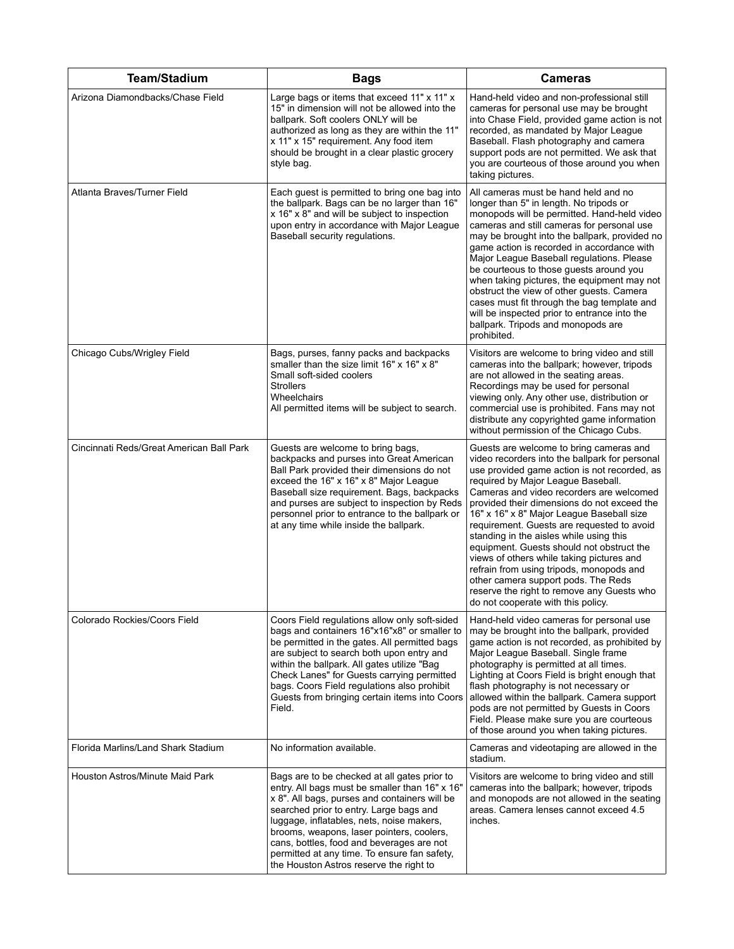| <b>Team/Stadium</b>                      | <b>Bags</b>                                                                                                                                                                                                                                                                                                                                                                                                                  | <b>Cameras</b>                                                                                                                                                                                                                                                                                                                                                                                                                                                                                                                                                                                                                                                                    |
|------------------------------------------|------------------------------------------------------------------------------------------------------------------------------------------------------------------------------------------------------------------------------------------------------------------------------------------------------------------------------------------------------------------------------------------------------------------------------|-----------------------------------------------------------------------------------------------------------------------------------------------------------------------------------------------------------------------------------------------------------------------------------------------------------------------------------------------------------------------------------------------------------------------------------------------------------------------------------------------------------------------------------------------------------------------------------------------------------------------------------------------------------------------------------|
| Arizona Diamondbacks/Chase Field         | Large bags or items that exceed 11" x 11" x<br>15" in dimension will not be allowed into the<br>ballpark. Soft coolers ONLY will be<br>authorized as long as they are within the 11"<br>x 11" x 15" requirement. Any food item<br>should be brought in a clear plastic grocery<br>style bag.                                                                                                                                 | Hand-held video and non-professional still<br>cameras for personal use may be brought<br>into Chase Field, provided game action is not<br>recorded, as mandated by Major League<br>Baseball. Flash photography and camera<br>support pods are not permitted. We ask that<br>you are courteous of those around you when<br>taking pictures.                                                                                                                                                                                                                                                                                                                                        |
| Atlanta Braves/Turner Field              | Each guest is permitted to bring one bag into<br>the ballpark. Bags can be no larger than 16"<br>x 16" x 8" and will be subject to inspection<br>upon entry in accordance with Major League<br>Baseball security regulations.                                                                                                                                                                                                | All cameras must be hand held and no<br>longer than 5" in length. No tripods or<br>monopods will be permitted. Hand-held video<br>cameras and still cameras for personal use<br>may be brought into the ballpark, provided no<br>game action is recorded in accordance with<br>Major League Baseball regulations. Please<br>be courteous to those guests around you<br>when taking pictures, the equipment may not<br>obstruct the view of other guests. Camera<br>cases must fit through the bag template and<br>will be inspected prior to entrance into the<br>ballpark. Tripods and monopods are<br>prohibited.                                                               |
| Chicago Cubs/Wrigley Field               | Bags, purses, fanny packs and backpacks<br>smaller than the size limit 16" x 16" x 8"<br>Small soft-sided coolers<br><b>Strollers</b><br>Wheelchairs<br>All permitted items will be subject to search.                                                                                                                                                                                                                       | Visitors are welcome to bring video and still<br>cameras into the ballpark; however, tripods<br>are not allowed in the seating areas.<br>Recordings may be used for personal<br>viewing only. Any other use, distribution or<br>commercial use is prohibited. Fans may not<br>distribute any copyrighted game information<br>without permission of the Chicago Cubs.                                                                                                                                                                                                                                                                                                              |
| Cincinnati Reds/Great American Ball Park | Guests are welcome to bring bags,<br>backpacks and purses into Great American<br>Ball Park provided their dimensions do not<br>exceed the 16" x 16" x 8" Major League<br>Baseball size requirement. Bags, backpacks<br>and purses are subject to inspection by Reds<br>personnel prior to entrance to the ballpark or<br>at any time while inside the ballpark.                                                              | Guests are welcome to bring cameras and<br>video recorders into the ballpark for personal<br>use provided game action is not recorded, as<br>required by Major League Baseball.<br>Cameras and video recorders are welcomed<br>provided their dimensions do not exceed the<br>16" x 16" x 8" Major League Baseball size<br>requirement. Guests are requested to avoid<br>standing in the aisles while using this<br>equipment. Guests should not obstruct the<br>views of others while taking pictures and<br>refrain from using tripods, monopods and<br>other camera support pods. The Reds<br>reserve the right to remove any Guests who<br>do not cooperate with this policy. |
| Colorado Rockies/Coors Field             | Coors Field regulations allow only soft-sided<br>bags and containers 16"x16"x8" or smaller to<br>be permitted in the gates. All permitted bags<br>are subject to search both upon entry and<br>within the ballpark. All gates utilize "Bag<br>Check Lanes" for Guests carrying permitted<br>bags. Coors Field regulations also prohibit<br>Guests from bringing certain items into Coors<br>Field.                           | Hand-held video cameras for personal use<br>may be brought into the ballpark, provided<br>game action is not recorded, as prohibited by<br>Major League Baseball. Single frame<br>photography is permitted at all times.<br>Lighting at Coors Field is bright enough that<br>flash photography is not necessary or<br>allowed within the ballpark. Camera support<br>pods are not permitted by Guests in Coors<br>Field. Please make sure you are courteous<br>of those around you when taking pictures.                                                                                                                                                                          |
| Florida Marlins/Land Shark Stadium       | No information available.                                                                                                                                                                                                                                                                                                                                                                                                    | Cameras and videotaping are allowed in the<br>stadium.                                                                                                                                                                                                                                                                                                                                                                                                                                                                                                                                                                                                                            |
| Houston Astros/Minute Maid Park          | Bags are to be checked at all gates prior to<br>entry. All bags must be smaller than 16" x 16"<br>x 8". All bags, purses and containers will be<br>searched prior to entry. Large bags and<br>luggage, inflatables, nets, noise makers,<br>brooms, weapons, laser pointers, coolers,<br>cans, bottles, food and beverages are not<br>permitted at any time. To ensure fan safety,<br>the Houston Astros reserve the right to | Visitors are welcome to bring video and still<br>cameras into the ballpark; however, tripods<br>and monopods are not allowed in the seating<br>areas. Camera lenses cannot exceed 4.5<br>inches.                                                                                                                                                                                                                                                                                                                                                                                                                                                                                  |